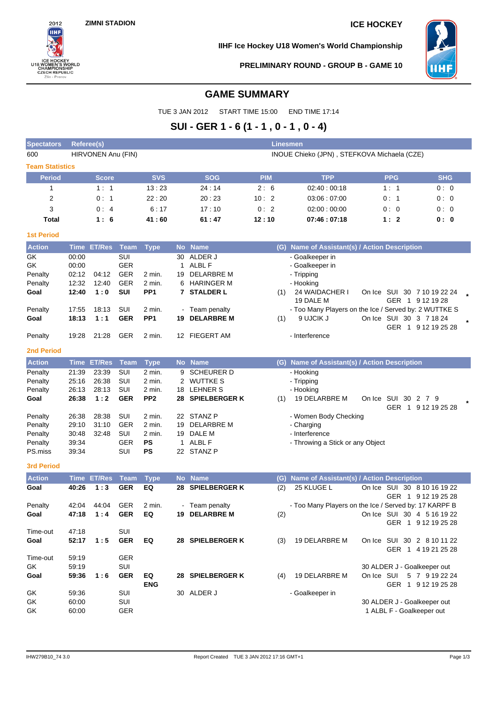

**IIHF Ice Hockey U18 Women's World Championship**



**PRELIMINARY ROUND - GROUP B - GAME 10**

# **GAME SUMMARY**

TUE 3 JAN 2012 START TIME 15:00 END TIME 17:14

# **SUI - GER 1 - 6 (1 - 1 , 0 - 1 , 0 - 4)**

| <b>Spectators</b>      | Referee(s) |                    |             |                  |              |                      | Linesmen   |                                                       |            |                           |                                                |
|------------------------|------------|--------------------|-------------|------------------|--------------|----------------------|------------|-------------------------------------------------------|------------|---------------------------|------------------------------------------------|
| 600                    |            | HIRVONEN Anu (FIN) |             |                  |              |                      |            | INOUE Chieko (JPN), STEFKOVA Michaela (CZE)           |            |                           |                                                |
| <b>Team Statistics</b> |            |                    |             |                  |              |                      |            |                                                       |            |                           |                                                |
| <b>Period</b>          |            | <b>Score</b>       |             | <b>SVS</b>       |              | <b>SOG</b>           | <b>PIM</b> | <b>TPP</b>                                            |            | <b>PPG</b>                | <b>SHG</b>                                     |
| 1                      |            | 1:1                |             | 13:23            |              | 24:14                | 2:6        | 02:40:00:18                                           |            | 1:1                       | 0:0                                            |
| 2                      |            | 0:1                |             | 22:20            |              | 20:23                | 10:2       | 03:06:07:00                                           |            | 0: 1                      | 0:0                                            |
|                        |            |                    |             | 6:17             |              | 17:10                | 0:2        |                                                       |            |                           |                                                |
| 3                      |            | 0:4                |             |                  |              |                      |            | 02:00:00:00                                           |            | 0:0                       | 0:0                                            |
| Total                  |            | 1:6                |             | 41:60            |              | 61:47                | 12:10      | 07:46:07:18                                           |            | 1:2                       | 0: 0                                           |
| <b>1st Period</b>      |            |                    |             |                  |              |                      |            |                                                       |            |                           |                                                |
| <b>Action</b>          |            | Time ET/Res        | <b>Team</b> | <b>Type</b>      |              | No Name              |            | (G) Name of Assistant(s) / Action Description         |            |                           |                                                |
| GK                     | 00:00      |                    | SUI         |                  | 30           | ALDER J              |            | - Goalkeeper in                                       |            |                           |                                                |
| GK                     | 00:00      |                    | <b>GER</b>  |                  | $\mathbf{1}$ | ALBL F               |            | - Goalkeeper in                                       |            |                           |                                                |
| Penalty                | 02:12      | 04:12              | <b>GER</b>  | 2 min.           | 19           | <b>DELARBRE M</b>    |            | - Tripping                                            |            |                           |                                                |
| Penalty                | 12:32      | 12:40              | <b>GER</b>  | 2 min.           | 6            | HARINGER M           |            | - Hooking                                             |            |                           |                                                |
| Goal                   | 12:40      | 1:0                | <b>SUI</b>  | PP <sub>1</sub>  |              | 7 STALDER L          | (1)        | 24 WAIDACHER I                                        |            |                           | On Ice SUI 30 7 10 19 22 24                    |
|                        |            |                    |             |                  |              |                      |            | 19 DALE M                                             |            |                           | GER 1 9 12 19 28                               |
| Penalty                | 17:55      | 18:13              | SUI         | 2 min.           |              | Team penalty         |            | - Too Many Players on the Ice / Served by: 2 WUTTKE S |            |                           |                                                |
| Goal                   | 18:13      | 1:1                | <b>GER</b>  | PP <sub>1</sub>  | 19           | <b>DELARBRE M</b>    | (1)        | 9 UJCIK J                                             |            |                           | On Ice SUI 30 3 7 18 24<br>GER 1 9 12 19 25 28 |
| Penalty                | 19:28      | 21:28              | <b>GER</b>  | 2 min.           |              | 12 FIEGERT AM        |            | - Interference                                        |            |                           |                                                |
| 2nd Period             |            |                    |             |                  |              |                      |            |                                                       |            |                           |                                                |
| <b>Action</b>          |            | <b>Time ET/Res</b> | <b>Team</b> | <b>Type</b>      |              | No Name              |            | (G) Name of Assistant(s) / Action Description         |            |                           |                                                |
| Penalty                | 21:39      | 23:39              | SUI         | 2 min.           | 9            | <b>SCHEURER D</b>    |            | - Hooking                                             |            |                           |                                                |
| Penalty                | 25:16      | 26:38              | SUI         | 2 min.           |              | 2 WUTTKE S           |            | - Tripping                                            |            |                           |                                                |
| Penalty                | 26:13      | 28:13              | SUI         | 2 min.           |              | 18 LEHNER S          |            | - Hooking                                             |            |                           |                                                |
| Goal                   | 26:38      | 1:2                | <b>GER</b>  | PP <sub>2</sub>  | 28           | <b>SPIELBERGER K</b> | (1)        | 19 DELARBRE M                                         |            | On Ice SUI 30 2 7 9       |                                                |
|                        |            |                    |             |                  |              |                      |            |                                                       |            |                           | GER 1 9 12 19 25 28                            |
| Penalty                | 26:38      | 28:38              | SUI         | 2 min.           |              | 22 STANZ P           |            | - Women Body Checking                                 |            |                           |                                                |
| Penalty                | 29:10      | 31:10              | <b>GER</b>  | 2 min.           | 19           | <b>DELARBRE M</b>    |            | - Charging                                            |            |                           |                                                |
| Penalty                | 30:48      | 32:48              | SUI         | 2 min.           | 19           | DALE M               |            | - Interference                                        |            |                           |                                                |
| Penalty                | 39:34      |                    | GER         | PS               | 1            | ALBL F               |            | - Throwing a Stick or any Object                      |            |                           |                                                |
| PS.miss                | 39:34      |                    | SUI         | <b>PS</b>        |              | 22 STANZ P           |            |                                                       |            |                           |                                                |
| <b>3rd Period</b>      |            |                    |             |                  |              |                      |            |                                                       |            |                           |                                                |
| <b>Action</b>          |            | <b>Time ET/Res</b> | <b>Team</b> | <b>Type</b>      |              | No Name              | (G)        | Name of Assistant(s) / Action Description             |            |                           |                                                |
| Goal                   | 40:26      | 1:3                | <b>GER</b>  | EQ               | 28           | <b>SPIELBERGER K</b> | (2)        | 25 KLUGE L                                            |            |                           | On Ice SUI 30 8 10 16 19 22                    |
|                        |            |                    |             |                  |              |                      |            |                                                       |            |                           | GER 1 9 12 19 25 28                            |
| Penalty                | 42:04      | 44:04              | <b>GER</b>  | 2 min.           |              | - Team penalty       |            | - Too Many Players on the Ice / Served by: 17 KARPF B |            |                           |                                                |
| Goal                   | 47:18      | 1:4                | <b>GER</b>  | EQ               |              | 19 DELARBRE M        | (2)        |                                                       |            |                           | On Ice SUI 30 4 5 16 19 22                     |
|                        |            |                    |             |                  |              |                      |            |                                                       |            |                           | GER 1 9 12 19 25 28                            |
| Time-out               | 47:18      |                    | SUI         |                  |              |                      |            |                                                       |            |                           |                                                |
| Goal                   | 52:17      | 1:5                | <b>GER</b>  | EQ               |              | 28 SPIELBERGER K     | (3)        | 19 DELARBRE M                                         |            |                           | On Ice SUI 30 2 8 10 11 22                     |
|                        |            |                    |             |                  |              |                      |            |                                                       |            |                           | GER 1 4 19 21 25 28                            |
| Time-out               | 59:19      |                    | <b>GER</b>  |                  |              |                      |            |                                                       |            |                           |                                                |
| GK                     | 59:19      |                    | SUI         |                  |              |                      |            |                                                       |            |                           | 30 ALDER J - Goalkeeper out                    |
| Goal                   | 59:36      | 1:6                | <b>GER</b>  | EQ<br><b>ENG</b> |              | 28 SPIELBERGER K     | (4)        | 19 DELARBRE M                                         | On Ice SUI |                           | 5 7 9 19 22 24                                 |
| GK                     | 59:36      |                    | SUI         |                  |              | 30 ALDER J           |            | - Goalkeeper in                                       |            |                           | GER 1 9 12 19 25 28                            |
| GK                     | 60:00      |                    | SUI         |                  |              |                      |            |                                                       |            |                           | 30 ALDER J - Goalkeeper out                    |
| GK                     | 60:00      |                    | GER         |                  |              |                      |            |                                                       |            | 1 ALBL F - Goalkeeper out |                                                |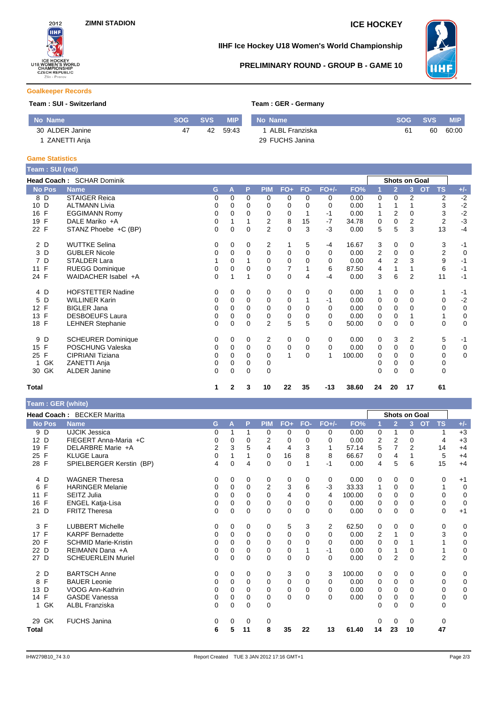

### **IIHF Ice Hockey U18 Women's World Championship**

## **PRELIMINARY ROUND - GROUP B - GAME 10**



#### **Goalkeeper Records**

### **Team : SUI - Switzerland Team : GER - Germany**

| No Name         |    | SOG SVS | MIP      | No Name          |    | SOG SVS | <b>MIP</b> |
|-----------------|----|---------|----------|------------------|----|---------|------------|
| 30 ALDER Janine | 47 |         | 42 59:43 | 1 ALBL Franziska | 61 | 60      | 60:00      |
| 1 ZANETTI Anja  |    |         |          | 29 FUCHS Janina  |    |         |            |

# **Game Statistics**

| Team: SUI (red)      |                           |             |          |             |                |             |          |         |        |          |                |                      |                        |             |
|----------------------|---------------------------|-------------|----------|-------------|----------------|-------------|----------|---------|--------|----------|----------------|----------------------|------------------------|-------------|
|                      | Head Coach: SCHAR Dominik |             |          |             |                |             |          |         |        |          |                | <b>Shots on Goal</b> |                        |             |
| <b>No Pos</b>        | <b>Name</b>               | G           | A        | P           | <b>PIM</b>     | $FO+$       | FO-      | $FO+/-$ | FO%    |          | $\overline{2}$ | 3                    | <b>TS</b><br><b>OT</b> | $+/-$       |
| 8 D                  | <b>STAIGER Reica</b>      | 0           | 0        | $\Omega$    | 0              | 0           | $\Omega$ | 0       | 0.00   | 0        | $\Omega$       | 2                    | 2                      | $-2$        |
| D<br>10              | <b>ALTMANN Livia</b>      | 0           | 0        | 0           | 0              | 0           | 0        | 0       | 0.00   |          |                |                      | 3                      | $-2$        |
| F<br>16              | <b>EGGIMANN Romy</b>      | $\mathbf 0$ | 0        | $\mathbf 0$ | 0              | 0           |          | $-1$    | 0.00   |          | 2              | 0                    | 3                      | $-2$        |
| F<br>19              | DALE Mariko +A            | $\mathbf 0$ |          |             | $\overline{2}$ | 8           | 15       | $-7$    | 34.78  | 0        | $\mathbf 0$    | 2                    | $\overline{2}$         | $-3$        |
| 22 F                 | STANZ Phoebe +C (BP)      | $\mathbf 0$ | 0        | $\mathbf 0$ | 2              | $\pmb{0}$   | 3        | -3      | 0.00   | 5        | 5              | 3                    | 13                     | $-4$        |
| 2 D                  | <b>WUTTKE Selina</b>      | 0           | 0        | 0           | 2              | 1           | 5        | -4      | 16.67  | 3        | 0              | 0                    | 3                      | $-1$        |
| D<br>3               | <b>GUBLER Nicole</b>      | 0           | 0        | $\Omega$    | $\mathbf 0$    | 0           | $\Omega$ | 0       | 0.00   | 2        | 0              | 0                    | $\boldsymbol{2}$       | $\mathbf 0$ |
| D<br>7               | <b>STALDER Lara</b>       |             | 0        |             | $\mathbf 0$    | $\mathbf 0$ | $\Omega$ | 0       | 0.00   | 4        | $\overline{2}$ | 3                    | 9                      | $-1$        |
| F<br>11              | <b>RUEGG Dominique</b>    | 0           | 0        | 0           | 0              | 7           |          | 6       | 87.50  | 4        | 1              |                      | 6                      | $-1$        |
| 24 F                 | WAIDACHER Isabel +A       | $\Omega$    | 1        | 1           | $\Omega$       | $\mathbf 0$ | 4        | $-4$    | 0.00   | 3        | 6              | 2                    | 11                     | $-1$        |
| 4 D                  | <b>HOFSTETTER Nadine</b>  | 0           | 0        | 0           | 0              | 0           | 0        | 0       | 0.00   | 1        | 0              | 0                    |                        | $-1$        |
| D<br>5               | <b>WILLINER Karin</b>     | 0           | 0        | $\Omega$    | 0              | 0           |          | $-1$    | 0.00   | 0        | $\mathbf 0$    | 0                    | 0                      | $-2$        |
| F<br>12 <sup>2</sup> | <b>BIGLER Jana</b>        | 0           | 0        | 0           | $\mathbf 0$    | $\mathbf 0$ | 0        | 0       | 0.00   | 0        | $\mathbf 0$    | 0                    | 0                      | $\mathbf 0$ |
| F<br>13              | <b>DESBOEUFS Laura</b>    | $\mathbf 0$ | 0        | $\Omega$    | 0              | $\mathbf 0$ | $\Omega$ | 0       | 0.00   | 0        | $\mathbf 0$    |                      |                        | $\mathbf 0$ |
| 18 F                 | <b>LEHNER Stephanie</b>   | $\Omega$    | 0        | $\Omega$    | $\overline{2}$ | 5           | 5        | 0       | 50.00  | $\Omega$ | $\Omega$       | $\Omega$             | $\mathbf 0$            | $\mathbf 0$ |
| D<br>9               | <b>SCHEURER Dominique</b> | 0           | 0        | 0           | 2              | 0           | 0        | 0       | 0.00   | 0        | 3              | 2                    | 5                      | $-1$        |
| F<br>15              | POSCHUNG Valeska          | 0           | 0        | 0           | $\mathbf 0$    | $\mathbf 0$ | 0        | 0       | 0.00   | 0        | $\mathbf 0$    | 0                    | 0                      | $\mathbf 0$ |
| F<br>25              | CIPRIANI Tiziana          | 0           | 0        | 0           | $\Omega$       | 1           | $\Omega$ | 1       | 100.00 | 0        | 0              | 0                    | 0                      | $\mathbf 0$ |
| GK                   | ZANETTI Anja              | 0           | 0        | 0           | 0              |             |          |         |        | 0        | 0              | 0                    | 0                      |             |
| GK<br>30             | <b>ALDER Janine</b>       | $\Omega$    | $\Omega$ | $\Omega$    | $\Omega$       |             |          |         |        | $\Omega$ | $\Omega$       | $\Omega$             | $\Omega$               |             |
| <b>Total</b>         |                           | 1.          | 2        | 3           | 10             | 22          | 35       | $-13$   | 38.60  | 24       | 20             | 17                   | 61                     |             |

### **Team : GER (white)**

| <b>I ealli</b> . OCK (WILLE) |                             |              |          |          |                |             |          |             |        |          |                |                      |                        |             |
|------------------------------|-----------------------------|--------------|----------|----------|----------------|-------------|----------|-------------|--------|----------|----------------|----------------------|------------------------|-------------|
|                              | Head Coach: BECKER Maritta  |              |          |          |                |             |          |             |        |          |                | <b>Shots on Goal</b> |                        |             |
| <b>No Pos</b>                | <b>Name</b>                 | G            | A        | P        | <b>PIM</b>     | $FO+$       | FO-      | $FO+/-$     | FO%    |          | $\overline{2}$ | $\overline{3}$       | <b>OT</b><br><b>TS</b> | $+/-$       |
| 9 D                          | <b>UJCIK Jessica</b>        | 0            |          | 1        | 0              | 0           | $\Omega$ | 0           | 0.00   | 0        | 1              | $\Omega$             | 1                      | $+3$        |
| 12 D                         | FIEGERT Anna-Maria +C       | 0            | 0        | $\Omega$ | $\overline{2}$ | 0           | $\Omega$ | $\Omega$    | 0.00   | 2        | 2              | $\Omega$             | $\overline{4}$         | $+3$        |
| 19 F                         | DELARBRE Marie +A           | 2            | 3        | 5        | 4              | 4           | 3        | 1           | 57.14  | 5        | 7              | 2                    | 14                     | $+4$        |
| 25 F                         | <b>KLUGE Laura</b>          | 0            |          |          | 0              | 16          | 8        | 8           | 66.67  | 0        | $\overline{4}$ |                      | 5                      | $+4$        |
| 28 F                         | SPIELBERGER Kerstin (BP)    | 4            | $\Omega$ | 4        | $\Omega$       | $\mathbf 0$ |          | $-1$        | 0.00   | 4        | 5              | 6                    | 15                     | $+4$        |
| 4 D                          | <b>WAGNER Theresa</b>       | 0            | 0        | 0        | 0              | 0           | 0        | $\mathbf 0$ | 0.00   | 0        | 0              | 0                    | 0                      | $+1$        |
| F<br>6                       | <b>HARINGER Melanie</b>     | 0            | $\Omega$ | $\Omega$ | $\overline{2}$ | 3           | 6        | $-3$        | 33.33  |          | $\mathbf 0$    | $\Omega$             | 1                      | $\mathbf 0$ |
| $\mathsf{F}$<br>11           | SEITZ Julia                 | 0            | 0        | $\Omega$ | 0              | 4           | $\Omega$ | 4           | 100.00 | 0        | 0              | $\Omega$             | $\Omega$               | 0           |
| $\mathsf{F}$<br>16           | <b>ENGEL Katja-Lisa</b>     | 0            | 0        | $\Omega$ | $\mathbf 0$    | 0           | $\Omega$ | $\Omega$    | 0.00   | 0        | $\mathbf 0$    | $\Omega$             | $\mathbf 0$            | $\mathbf 0$ |
| 21 D                         | <b>FRITZ Theresa</b>        | 0            | $\Omega$ | $\Omega$ | $\Omega$       | $\mathbf 0$ | $\Omega$ | $\Omega$    | 0.00   | $\Omega$ | $\mathbf 0$    | $\Omega$             | $\mathbf 0$            | $+1$        |
| 3 F                          | <b>LUBBERT Michelle</b>     | 0            | 0        | 0        | 0              | 5           | 3        | 2           | 62.50  | 0        | 0              | 0                    | 0                      | 0           |
| 17 F                         | <b>KARPF Bernadette</b>     | 0            | 0        | $\Omega$ | 0              | 0           | $\Omega$ | $\Omega$    | 0.00   | 2        | 1              | $\Omega$             | 3                      | 0           |
| $\mathsf{F}$<br>20           | <b>SCHMID Marie-Kristin</b> | 0            | 0        | $\Omega$ | 0              | 0           | $\Omega$ | $\Omega$    | 0.00   | 0        | $\mathbf 0$    |                      |                        | 0           |
| 22 D                         | REIMANN Dana +A             | 0            | 0        | $\Omega$ | 0              | 0           |          | $-1$        | 0.00   | 0        | 1              | 0                    | 1                      | 0           |
| 27 D                         | <b>SCHEUERLEIN Muriel</b>   | 0            | 0        | $\Omega$ | $\Omega$       | 0           | $\Omega$ | $\Omega$    | 0.00   | 0        | $\overline{2}$ | $\Omega$             | $\overline{2}$         | $\mathbf 0$ |
| 2 D                          | <b>BARTSCH Anne</b>         | 0            | 0        | 0        | 0              | 3           | 0        | 3           | 100.00 | 0        | 0              | 0                    | 0                      | 0           |
| F<br>8                       | <b>BAUER Leonie</b>         | 0            | 0        | $\Omega$ | 0              | 0           | $\Omega$ | $\Omega$    | 0.00   | 0        | 0              | $\Omega$             | $\Omega$               | 0           |
| D<br>13                      | VOOG Ann-Kathrin            | 0            | 0        | $\Omega$ | 0              | 0           | $\Omega$ | 0           | 0.00   | 0        | $\Omega$       | $\Omega$             | $\mathbf 0$            | 0           |
| 14 F                         | <b>GASDE Vanessa</b>        | 0            | 0        | $\Omega$ | 0              | 0           | $\Omega$ | $\Omega$    | 0.00   | 0        | $\mathbf 0$    | $\Omega$             | $\mathbf 0$            | $\mathbf 0$ |
| 1 GK                         | <b>ALBL Franziska</b>       | $\mathbf{0}$ | 0        | $\Omega$ | $\mathbf 0$    |             |          |             |        | 0        | $\mathbf 0$    | $\Omega$             | $\mathbf 0$            |             |
| 29 GK                        | <b>FUCHS Janina</b>         | 0            | 0        | 0        | 0              |             |          |             |        | 0        | $\Omega$       | 0                    | 0                      |             |
| Total                        |                             | 6            | 5        | 11       | 8              | 35          | 22       | 13          | 61.40  | 14       | 23             | 10                   | 47                     |             |
|                              |                             |              |          |          |                |             |          |             |        |          |                |                      |                        |             |